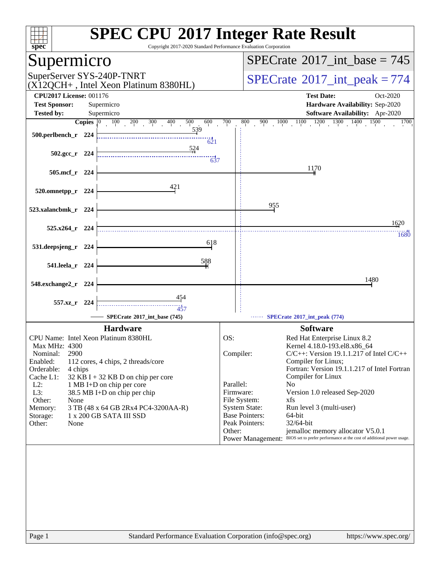| spec <sup>®</sup>                                                                                                                                               |                       | <b>SPEC CPU®2017 Integer Rate Result</b><br>Copyright 2017-2020 Standard Performance Evaluation Corporation                                                                                                                                                        |                            |                                                                                                                                                                                                                                                                                                                                                                                                                                                                                                                                                                                           |  |  |  |  |  |
|-----------------------------------------------------------------------------------------------------------------------------------------------------------------|-----------------------|--------------------------------------------------------------------------------------------------------------------------------------------------------------------------------------------------------------------------------------------------------------------|----------------------------|-------------------------------------------------------------------------------------------------------------------------------------------------------------------------------------------------------------------------------------------------------------------------------------------------------------------------------------------------------------------------------------------------------------------------------------------------------------------------------------------------------------------------------------------------------------------------------------------|--|--|--|--|--|
| Supermicro                                                                                                                                                      |                       |                                                                                                                                                                                                                                                                    |                            | $SPECTate$ <sup>®</sup> 2017_int_base = 745                                                                                                                                                                                                                                                                                                                                                                                                                                                                                                                                               |  |  |  |  |  |
| SuperServer SYS-240P-TNRT                                                                                                                                       |                       | (X12QCH+, Intel Xeon Platinum 8380HL)                                                                                                                                                                                                                              |                            | $SPECTate$ <sup>®</sup> 2017_int_peak = 774                                                                                                                                                                                                                                                                                                                                                                                                                                                                                                                                               |  |  |  |  |  |
| <b>CPU2017 License: 001176</b><br><b>Test Sponsor:</b>                                                                                                          |                       | Supermicro                                                                                                                                                                                                                                                         |                            | <b>Test Date:</b><br>Oct-2020<br>Hardware Availability: Sep-2020                                                                                                                                                                                                                                                                                                                                                                                                                                                                                                                          |  |  |  |  |  |
| <b>Tested by:</b>                                                                                                                                               |                       | Supermicro                                                                                                                                                                                                                                                         |                            | Software Availability: Apr-2020                                                                                                                                                                                                                                                                                                                                                                                                                                                                                                                                                           |  |  |  |  |  |
|                                                                                                                                                                 | $C$ opies $ 0\rangle$ | $100 \t 200 \t 300$<br>400<br>500<br>600                                                                                                                                                                                                                           | 700                        | $1000$ $1100$ $1200$ $1300$ $1400$ $1500$<br>1700<br>800<br>900                                                                                                                                                                                                                                                                                                                                                                                                                                                                                                                           |  |  |  |  |  |
| 500.perlbench_r 224                                                                                                                                             |                       | 539<br>621                                                                                                                                                                                                                                                         |                            |                                                                                                                                                                                                                                                                                                                                                                                                                                                                                                                                                                                           |  |  |  |  |  |
| $502.\text{gcc}_r$ 224                                                                                                                                          |                       | 524<br>637                                                                                                                                                                                                                                                         |                            |                                                                                                                                                                                                                                                                                                                                                                                                                                                                                                                                                                                           |  |  |  |  |  |
| 505.mcf_r 224                                                                                                                                                   |                       |                                                                                                                                                                                                                                                                    |                            | 1170                                                                                                                                                                                                                                                                                                                                                                                                                                                                                                                                                                                      |  |  |  |  |  |
| 520.omnetpp_r                                                                                                                                                   | 224                   | 421                                                                                                                                                                                                                                                                |                            |                                                                                                                                                                                                                                                                                                                                                                                                                                                                                                                                                                                           |  |  |  |  |  |
| 523.xalancbmk_r 224                                                                                                                                             |                       |                                                                                                                                                                                                                                                                    |                            | 955                                                                                                                                                                                                                                                                                                                                                                                                                                                                                                                                                                                       |  |  |  |  |  |
| 525.x264_r 224                                                                                                                                                  |                       |                                                                                                                                                                                                                                                                    |                            | 1620<br>1680                                                                                                                                                                                                                                                                                                                                                                                                                                                                                                                                                                              |  |  |  |  |  |
| 531.deepsjeng_r 224                                                                                                                                             |                       | 618                                                                                                                                                                                                                                                                |                            |                                                                                                                                                                                                                                                                                                                                                                                                                                                                                                                                                                                           |  |  |  |  |  |
| 541.leela_r 224                                                                                                                                                 |                       | 588                                                                                                                                                                                                                                                                |                            |                                                                                                                                                                                                                                                                                                                                                                                                                                                                                                                                                                                           |  |  |  |  |  |
| 548.exchange2_r 224                                                                                                                                             |                       |                                                                                                                                                                                                                                                                    |                            | 1480                                                                                                                                                                                                                                                                                                                                                                                                                                                                                                                                                                                      |  |  |  |  |  |
| 557.xz_r                                                                                                                                                        | - 224                 | 454<br>457                                                                                                                                                                                                                                                         |                            |                                                                                                                                                                                                                                                                                                                                                                                                                                                                                                                                                                                           |  |  |  |  |  |
|                                                                                                                                                                 |                       | SPECrate®2017 int base (745)                                                                                                                                                                                                                                       |                            | SPECrate*2017_int_peak (774)                                                                                                                                                                                                                                                                                                                                                                                                                                                                                                                                                              |  |  |  |  |  |
| Max MHz: 4300<br>Nominal:<br>2900<br>Enabled:<br>Orderable:<br>4 chips<br>Cache L1:<br>$L2$ :<br>L3:<br>Other:<br>None<br>Memory:<br>Storage:<br>Other:<br>None |                       | <b>Hardware</b><br>CPU Name: Intel Xeon Platinum 8380HL<br>112 cores, 4 chips, 2 threads/core<br>32 KB I + 32 KB D on chip per core<br>1 MB I+D on chip per core<br>38.5 MB I+D on chip per chip<br>3 TB (48 x 64 GB 2Rx4 PC4-3200AA-R)<br>1 x 200 GB SATA III SSD | OS:<br>Parallel:<br>Other: | <b>Software</b><br>Red Hat Enterprise Linux 8.2<br>Kernel 4.18.0-193.el8.x86_64<br>Compiler:<br>$C/C++$ : Version 19.1.1.217 of Intel $C/C++$<br>Compiler for Linux;<br>Fortran: Version 19.1.1.217 of Intel Fortran<br>Compiler for Linux<br>N <sub>0</sub><br>Firmware:<br>Version 1.0 released Sep-2020<br>File System:<br>xfs<br><b>System State:</b><br>Run level 3 (multi-user)<br><b>Base Pointers:</b><br>$64$ -bit<br>Peak Pointers:<br>32/64-bit<br>jemalloc memory allocator V5.0.1<br>Power Management: BIOS set to prefer performance at the cost of additional power usage. |  |  |  |  |  |
|                                                                                                                                                                 |                       |                                                                                                                                                                                                                                                                    |                            |                                                                                                                                                                                                                                                                                                                                                                                                                                                                                                                                                                                           |  |  |  |  |  |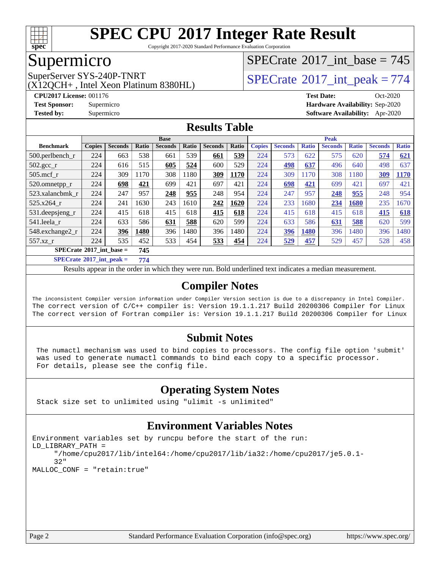

Copyright 2017-2020 Standard Performance Evaluation Corporation

### Supermicro

(X12QCH+ , Intel Xeon Platinum 8380HL)

SuperServer SYS-240P-TNRT  $\begin{array}{c|c}\n\text{SuperServer SYS-240P-TNRT} \\
\hline\n\text{CX120CH+ Intel Yeon Platinum 8380HI}\n\end{array}$ 

 $SPECTate$ <sup>®</sup>[2017\\_int\\_base =](http://www.spec.org/auto/cpu2017/Docs/result-fields.html#SPECrate2017intbase) 745

**[CPU2017 License:](http://www.spec.org/auto/cpu2017/Docs/result-fields.html#CPU2017License)** 001176 **[Test Date:](http://www.spec.org/auto/cpu2017/Docs/result-fields.html#TestDate)** Oct-2020 **[Test Sponsor:](http://www.spec.org/auto/cpu2017/Docs/result-fields.html#TestSponsor)** Supermicro **[Hardware Availability:](http://www.spec.org/auto/cpu2017/Docs/result-fields.html#HardwareAvailability)** Sep-2020 **[Tested by:](http://www.spec.org/auto/cpu2017/Docs/result-fields.html#Testedby)** Supermicro **[Software Availability:](http://www.spec.org/auto/cpu2017/Docs/result-fields.html#SoftwareAvailability)** Apr-2020

### **[Results Table](http://www.spec.org/auto/cpu2017/Docs/result-fields.html#ResultsTable)**

|                                            | <b>Base</b>   |                |       |                |       |                |       | <b>Peak</b>   |                |              |                |              |                |              |
|--------------------------------------------|---------------|----------------|-------|----------------|-------|----------------|-------|---------------|----------------|--------------|----------------|--------------|----------------|--------------|
| <b>Benchmark</b>                           | <b>Copies</b> | <b>Seconds</b> | Ratio | <b>Seconds</b> | Ratio | <b>Seconds</b> | Ratio | <b>Copies</b> | <b>Seconds</b> | <b>Ratio</b> | <b>Seconds</b> | <b>Ratio</b> | <b>Seconds</b> | <b>Ratio</b> |
| $500.$ perlbench_r                         | 224           | 663            | 538   | 661            | 539   | 661            | 539   | 224           | 573            | 622          | 575            | 620          | 574            | 621          |
| $502.\text{gcc}$ <sub>r</sub>              | 224           | 616            | 515   | 605            | 524   | 600            | 529   | 224           | 498            | 637          | 496            | 640          | 498            | 637          |
| $505$ .mcf r                               | 224           | 309            | 1170  | 308            | 1180  | 309            | 1170  | 224           | 309            | 170          | 308            | 1180         | 309            | 1170         |
| 520.omnetpp_r                              | 224           | 698            | 421   | 699            | 421   | 697            | 421   | 224           | 698            | 421          | 699            | 421          | 697            | 421          |
| 523.xalancbmk r                            | 224           | 247            | 957   | 248            | 955   | 248            | 954   | 224           | 247            | 957          | 248            | 955          | 248            | 954          |
| 525.x264 r                                 | 224           | 241            | 1630  | 243            | 1610  | 242            | 1620  | 224           | 233            | 1680         | 234            | 1680         | 235            | 1670         |
| 531.deepsjeng_r                            | 224           | 415            | 618   | 415            | 618   | 415            | 618   | 224           | 415            | 618          | 415            | 618          | 415            | 618          |
| 541.leela r                                | 224           | 633            | 586   | 631            | 588   | 620            | 599   | 224           | 633            | 586          | <b>631</b>     | 588          | 620            | 599          |
| 548.exchange2_r                            | 224           | 396            | 1480  | 396            | 1480  | 396            | 1480  | 224           | 396            | 1480         | 396            | 1480         | 396            | 1480         |
| 557.xz                                     | 224           | 535            | 452   | 533            | 454   | 533            | 454   | 224           | 529            | 457          | 529            | 457          | 528            | 458          |
| $SPECrate^{\circ}2017\_int\_base =$<br>745 |               |                |       |                |       |                |       |               |                |              |                |              |                |              |
| $CDFAC = 4.8047 \pm 1.1$                   |               |                | -- -  |                |       |                |       |               |                |              |                |              |                |              |

**[SPECrate](http://www.spec.org/auto/cpu2017/Docs/result-fields.html#SPECrate2017intpeak)[2017\\_int\\_peak =](http://www.spec.org/auto/cpu2017/Docs/result-fields.html#SPECrate2017intpeak) 774**

Results appear in the [order in which they were run](http://www.spec.org/auto/cpu2017/Docs/result-fields.html#RunOrder). Bold underlined text [indicates a median measurement](http://www.spec.org/auto/cpu2017/Docs/result-fields.html#Median).

#### **[Compiler Notes](http://www.spec.org/auto/cpu2017/Docs/result-fields.html#CompilerNotes)**

The inconsistent Compiler version information under Compiler Version section is due to a discrepancy in Intel Compiler. The correct version of C/C++ compiler is: Version 19.1.1.217 Build 20200306 Compiler for Linux The correct version of Fortran compiler is: Version 19.1.1.217 Build 20200306 Compiler for Linux

### **[Submit Notes](http://www.spec.org/auto/cpu2017/Docs/result-fields.html#SubmitNotes)**

 The numactl mechanism was used to bind copies to processors. The config file option 'submit' was used to generate numactl commands to bind each copy to a specific processor. For details, please see the config file.

### **[Operating System Notes](http://www.spec.org/auto/cpu2017/Docs/result-fields.html#OperatingSystemNotes)**

Stack size set to unlimited using "ulimit -s unlimited"

### **[Environment Variables Notes](http://www.spec.org/auto/cpu2017/Docs/result-fields.html#EnvironmentVariablesNotes)**

```
Environment variables set by runcpu before the start of the run:
LD_LIBRARY_PATH =
      "/home/cpu2017/lib/intel64:/home/cpu2017/lib/ia32:/home/cpu2017/je5.0.1-
      32"
MALLOC_CONF = "retain:true"
```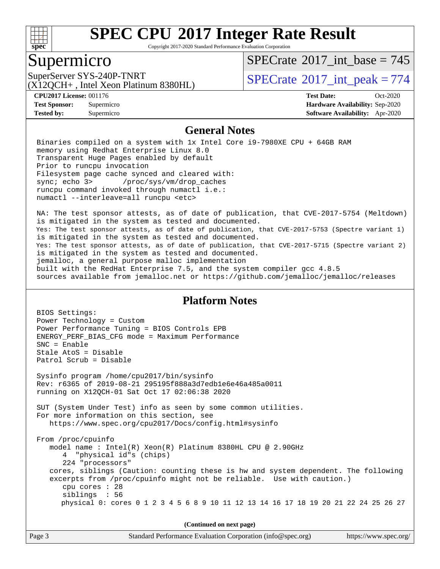

Copyright 2017-2020 Standard Performance Evaluation Corporation

### Supermicro

 $SPECTate$ <sup>®</sup>[2017\\_int\\_base =](http://www.spec.org/auto/cpu2017/Docs/result-fields.html#SPECrate2017intbase) 745

(X12QCH+ , Intel Xeon Platinum 8380HL)

SuperServer SYS-240P-TNRT  $\begin{array}{c|c}\n\text{SuperServer SYS-240P-TNRT} \\
\hline\n\text{CX120CH+ Intel Yeon Platinum 8380HI}\n\end{array}$ 

**[Tested by:](http://www.spec.org/auto/cpu2017/Docs/result-fields.html#Testedby)** Supermicro **[Software Availability:](http://www.spec.org/auto/cpu2017/Docs/result-fields.html#SoftwareAvailability)** Apr-2020

**[CPU2017 License:](http://www.spec.org/auto/cpu2017/Docs/result-fields.html#CPU2017License)** 001176 **[Test Date:](http://www.spec.org/auto/cpu2017/Docs/result-fields.html#TestDate)** Oct-2020 **[Test Sponsor:](http://www.spec.org/auto/cpu2017/Docs/result-fields.html#TestSponsor)** Supermicro **[Hardware Availability:](http://www.spec.org/auto/cpu2017/Docs/result-fields.html#HardwareAvailability)** Sep-2020

#### **[General Notes](http://www.spec.org/auto/cpu2017/Docs/result-fields.html#GeneralNotes)**

 Binaries compiled on a system with 1x Intel Core i9-7980XE CPU + 64GB RAM memory using Redhat Enterprise Linux 8.0 Transparent Huge Pages enabled by default Prior to runcpu invocation Filesystem page cache synced and cleared with: sync; echo 3> /proc/sys/vm/drop\_caches runcpu command invoked through numactl i.e.: numactl --interleave=all runcpu <etc>

 NA: The test sponsor attests, as of date of publication, that CVE-2017-5754 (Meltdown) is mitigated in the system as tested and documented. Yes: The test sponsor attests, as of date of publication, that CVE-2017-5753 (Spectre variant 1) is mitigated in the system as tested and documented. Yes: The test sponsor attests, as of date of publication, that CVE-2017-5715 (Spectre variant 2) is mitigated in the system as tested and documented. jemalloc, a general purpose malloc implementation built with the RedHat Enterprise 7.5, and the system compiler gcc 4.8.5 sources available from jemalloc.net or<https://github.com/jemalloc/jemalloc/releases>

#### **[Platform Notes](http://www.spec.org/auto/cpu2017/Docs/result-fields.html#PlatformNotes)**

| (Continued on next page)                                                                                                                                                                                                                                                                                                                                                                                                      |  |  |  |  |  |
|-------------------------------------------------------------------------------------------------------------------------------------------------------------------------------------------------------------------------------------------------------------------------------------------------------------------------------------------------------------------------------------------------------------------------------|--|--|--|--|--|
| From /proc/cpuinfo<br>model name: $Intel(R)$ Xeon(R) Platinum 8380HL CPU @ 2.90GHz<br>4 "physical id"s (chips)<br>224 "processors"<br>cores, siblings (Caution: counting these is hw and system dependent. The following<br>excerpts from /proc/cpuinfo might not be reliable. Use with caution.)<br>cpu cores $: 28$<br>siblings : 56<br>physical 0: cores 0 1 2 3 4 5 6 8 9 10 11 12 13 14 16 17 18 19 20 21 22 24 25 26 27 |  |  |  |  |  |
| SUT (System Under Test) info as seen by some common utilities.<br>For more information on this section, see<br>https://www.spec.org/cpu2017/Docs/config.html#sysinfo                                                                                                                                                                                                                                                          |  |  |  |  |  |
| Sysinfo program /home/cpu2017/bin/sysinfo<br>Rev: r6365 of 2019-08-21 295195f888a3d7edb1e6e46a485a0011<br>running on X12QCH-01 Sat Oct 17 02:06:38 2020                                                                                                                                                                                                                                                                       |  |  |  |  |  |
| Power Technology = Custom<br>Power Performance Tuning = BIOS Controls EPB<br>ENERGY_PERF_BIAS_CFG mode = Maximum Performance<br>$SNC = Enable$<br>Stale AtoS = Disable<br>Patrol Scrub = Disable                                                                                                                                                                                                                              |  |  |  |  |  |
| BIOS Settings:                                                                                                                                                                                                                                                                                                                                                                                                                |  |  |  |  |  |

Page 3 Standard Performance Evaluation Corporation [\(info@spec.org\)](mailto:info@spec.org) <https://www.spec.org/>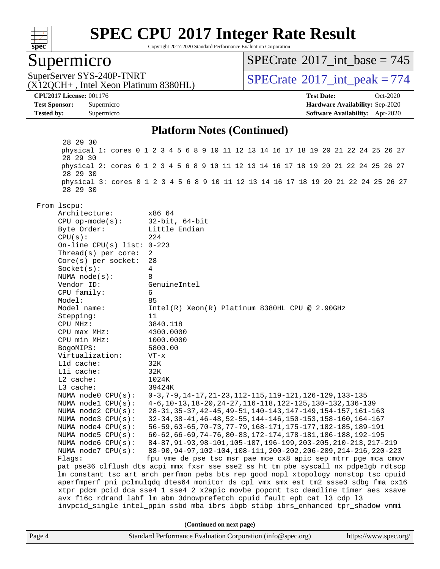

Copyright 2017-2020 Standard Performance Evaluation Corporation

### Supermicro

 $SPECTate$ <sup>®</sup>[2017\\_int\\_base =](http://www.spec.org/auto/cpu2017/Docs/result-fields.html#SPECrate2017intbase) 745

(X12QCH+ , Intel Xeon Platinum 8380HL)

SuperServer SYS-240P-TNRT  $\begin{array}{c|c}\n\text{SuperServer SYS-240P-TNRT} \\
\hline\n\text{CX120CH+ Intel Yeon Platinum 8380HI)}\n\end{array}$ 

**[CPU2017 License:](http://www.spec.org/auto/cpu2017/Docs/result-fields.html#CPU2017License)** 001176 **[Test Date:](http://www.spec.org/auto/cpu2017/Docs/result-fields.html#TestDate)** Oct-2020 **[Test Sponsor:](http://www.spec.org/auto/cpu2017/Docs/result-fields.html#TestSponsor)** Supermicro **[Hardware Availability:](http://www.spec.org/auto/cpu2017/Docs/result-fields.html#HardwareAvailability)** Sep-2020 **[Tested by:](http://www.spec.org/auto/cpu2017/Docs/result-fields.html#Testedby)** Supermicro **[Software Availability:](http://www.spec.org/auto/cpu2017/Docs/result-fields.html#SoftwareAvailability)** Apr-2020

#### **[Platform Notes \(Continued\)](http://www.spec.org/auto/cpu2017/Docs/result-fields.html#PlatformNotes)**

Page 4 Standard Performance Evaluation Corporation [\(info@spec.org\)](mailto:info@spec.org) <https://www.spec.org/> 28 29 30 physical 1: cores 0 1 2 3 4 5 6 8 9 10 11 12 13 14 16 17 18 19 20 21 22 24 25 26 27 28 29 30 physical 2: cores 0 1 2 3 4 5 6 8 9 10 11 12 13 14 16 17 18 19 20 21 22 24 25 26 27 28 29 30 physical 3: cores 0 1 2 3 4 5 6 8 9 10 11 12 13 14 16 17 18 19 20 21 22 24 25 26 27 28 29 30 From lscpu: Architecture: x86\_64 CPU op-mode(s): 32-bit, 64-bit Byte Order: Little Endian CPU(s): 224 On-line CPU(s) list: 0-223 Thread(s) per core: 2 Core(s) per socket: 28 Socket(s): 4 NUMA node(s): 8 Vendor ID: GenuineIntel CPU family: 6 Model: 85 Model name:  $Intel(R)$  Xeon(R) Platinum 8380HL CPU @ 2.90GHz Stepping: 11 CPU MHz: 3840.118 CPU max MHz: 4300.0000 CPU min MHz: 1000.0000 BogoMIPS: 5800.00 Virtualization: VT-x L1d cache: 32K L1i cache: 32K L2 cache: 1024K L3 cache: 39424K NUMA node0 CPU(s): 0-3,7-9,14-17,21-23,112-115,119-121,126-129,133-135 NUMA node1 CPU(s): 4-6,10-13,18-20,24-27,116-118,122-125,130-132,136-139 NUMA node2 CPU(s): 28-31,35-37,42-45,49-51,140-143,147-149,154-157,161-163 NUMA node3 CPU(s): 32-34,38-41,46-48,52-55,144-146,150-153,158-160,164-167 NUMA node4 CPU(s): 56-59,63-65,70-73,77-79,168-171,175-177,182-185,189-191<br>NUMA node5 CPU(s): 60-62,66-69,74-76,80-83,172-174,178-181,186-188,192-195 60-62,66-69,74-76,80-83,172-174,178-181,186-188,192-195 NUMA node6 CPU(s): 84-87,91-93,98-101,105-107,196-199,203-205,210-213,217-219 NUMA node7 CPU(s): 88-90,94-97,102-104,108-111,200-202,206-209,214-216,220-223 Flags: fpu vme de pse tsc msr pae mce cx8 apic sep mtrr pge mca cmov pat pse36 clflush dts acpi mmx fxsr sse sse2 ss ht tm pbe syscall nx pdpe1gb rdtscp lm constant\_tsc art arch\_perfmon pebs bts rep\_good nopl xtopology nonstop\_tsc cpuid aperfmperf pni pclmulqdq dtes64 monitor ds\_cpl vmx smx est tm2 ssse3 sdbg fma cx16 xtpr pdcm pcid dca sse4\_1 sse4\_2 x2apic movbe popcnt tsc\_deadline\_timer aes xsave avx f16c rdrand lahf\_lm abm 3dnowprefetch cpuid\_fault epb cat\_l3 cdp\_l3 invpcid\_single intel\_ppin ssbd mba ibrs ibpb stibp ibrs\_enhanced tpr\_shadow vnmi **(Continued on next page)**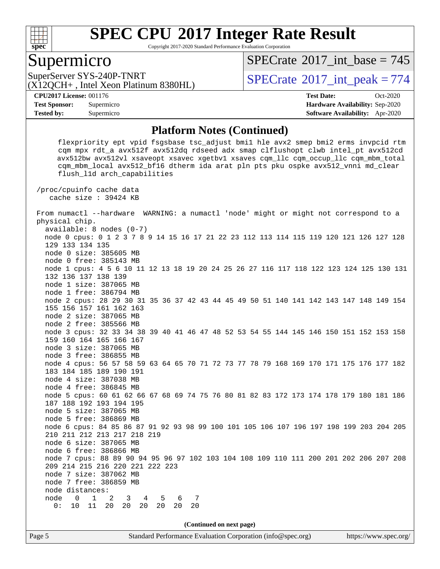

Copyright 2017-2020 Standard Performance Evaluation Corporation

### Supermicro

 $SPECTate$ <sup>®</sup>[2017\\_int\\_base =](http://www.spec.org/auto/cpu2017/Docs/result-fields.html#SPECrate2017intbase) 745

(X12QCH+ , Intel Xeon Platinum 8380HL)

SuperServer SYS-240P-TNRT  $SUS - 240P$ -TNRT  $SPECrate \degree 2017$  $SPECrate \degree 2017$ \_int\_peak = 774

**[Tested by:](http://www.spec.org/auto/cpu2017/Docs/result-fields.html#Testedby)** Supermicro **[Software Availability:](http://www.spec.org/auto/cpu2017/Docs/result-fields.html#SoftwareAvailability)** Apr-2020

**[CPU2017 License:](http://www.spec.org/auto/cpu2017/Docs/result-fields.html#CPU2017License)** 001176 **[Test Date:](http://www.spec.org/auto/cpu2017/Docs/result-fields.html#TestDate)** Oct-2020 **[Test Sponsor:](http://www.spec.org/auto/cpu2017/Docs/result-fields.html#TestSponsor)** Supermicro **[Hardware Availability:](http://www.spec.org/auto/cpu2017/Docs/result-fields.html#HardwareAvailability)** Sep-2020

#### **[Platform Notes \(Continued\)](http://www.spec.org/auto/cpu2017/Docs/result-fields.html#PlatformNotes)**

**(Continued on next page)**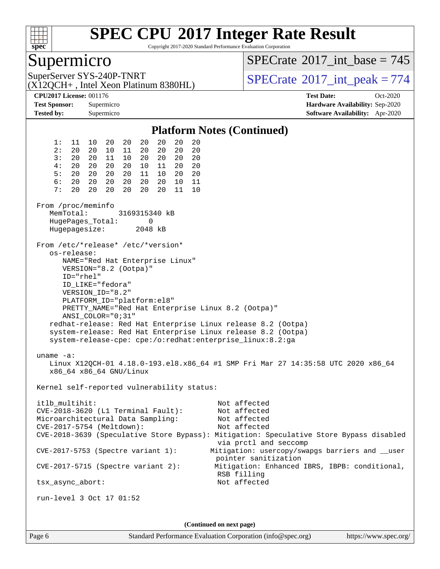

Copyright 2017-2020 Standard Performance Evaluation Corporation

### Supermicro

 $SPECTate$ <sup>®</sup>[2017\\_int\\_base =](http://www.spec.org/auto/cpu2017/Docs/result-fields.html#SPECrate2017intbase) 745

(X12QCH+ , Intel Xeon Platinum 8380HL)

SuperServer SYS-240P-TNRT  $SUS - 240P$ -TNRT  $SPECrate \degree 2017$  $SPECrate \degree 2017$ \_int\_peak = 774

**[CPU2017 License:](http://www.spec.org/auto/cpu2017/Docs/result-fields.html#CPU2017License)** 001176 **[Test Date:](http://www.spec.org/auto/cpu2017/Docs/result-fields.html#TestDate)** Oct-2020 **[Test Sponsor:](http://www.spec.org/auto/cpu2017/Docs/result-fields.html#TestSponsor)** Supermicro **[Hardware Availability:](http://www.spec.org/auto/cpu2017/Docs/result-fields.html#HardwareAvailability)** Sep-2020 **[Tested by:](http://www.spec.org/auto/cpu2017/Docs/result-fields.html#Testedby)** Supermicro **[Software Availability:](http://www.spec.org/auto/cpu2017/Docs/result-fields.html#SoftwareAvailability)** Apr-2020

#### **[Platform Notes \(Continued\)](http://www.spec.org/auto/cpu2017/Docs/result-fields.html#PlatformNotes)** 1: 11 10 20 20 20 20 20 20 2: 20 20 10 11 20 20 20 20 3: 20 20 11 10 20 20 20 20 4: 20 20 20 20 10 11 20 20 5: 20 20 20 20 11 10 20 20 6: 20 20 20 20 20 20 10 11 7: 20 20 20 20 20 11 From /proc/meminfo MemTotal: 3169315340 kB HugePages\_Total: 0 Hugepagesize: 2048 kB From /etc/\*release\* /etc/\*version\* os-release: NAME="Red Hat Enterprise Linux" VERSION="8.2 (Ootpa)" ID="rhel" ID\_LIKE="fedora" VERSION\_ID="8.2" PLATFORM\_ID="platform:el8" PRETTY\_NAME="Red Hat Enterprise Linux 8.2 (Ootpa)" ANSI\_COLOR="0;31" redhat-release: Red Hat Enterprise Linux release 8.2 (Ootpa) system-release: Red Hat Enterprise Linux release 8.2 (Ootpa) system-release-cpe: cpe:/o:redhat:enterprise\_linux:8.2:ga uname -a: Linux X12QCH-01 4.18.0-193.el8.x86\_64 #1 SMP Fri Mar 27 14:35:58 UTC 2020 x86\_64 x86\_64 x86\_64 GNU/Linux Kernel self-reported vulnerability status: itlb\_multihit: Not affected CVE-2018-3620 (L1 Terminal Fault): Not affected Microarchitectural Data Sampling: Not affected CVE-2017-5754 (Meltdown): Not affected CVE-2018-3639 (Speculative Store Bypass): Mitigation: Speculative Store Bypass disabled via prctl and seccomp CVE-2017-5753 (Spectre variant 1): Mitigation: usercopy/swapgs barriers and \_\_user pointer sanitization CVE-2017-5715 (Spectre variant 2): Mitigation: Enhanced IBRS, IBPB: conditional, RSB filling tsx\_async\_abort: Not affected run-level 3 Oct 17 01:52 **(Continued on next page)**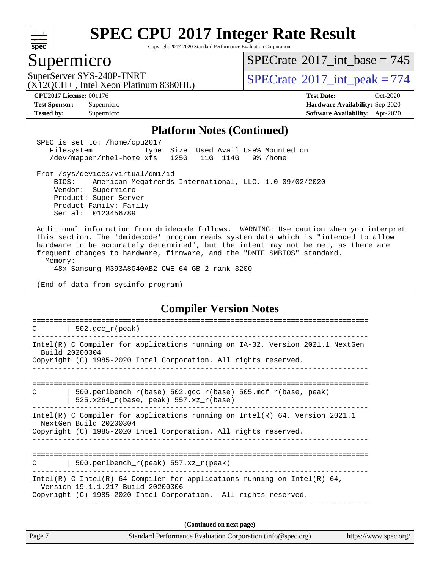

Copyright 2017-2020 Standard Performance Evaluation Corporation

### Supermicro

 $SPECrate$ <sup>®</sup>[2017\\_int\\_base =](http://www.spec.org/auto/cpu2017/Docs/result-fields.html#SPECrate2017intbase) 745

(X12QCH+ , Intel Xeon Platinum 8380HL)

SuperServer SYS-240P-TNRT  $\vert$  [SPECrate](http://www.spec.org/auto/cpu2017/Docs/result-fields.html#SPECrate2017intpeak)®[2017\\_int\\_peak = 7](http://www.spec.org/auto/cpu2017/Docs/result-fields.html#SPECrate2017intpeak)74

**[Tested by:](http://www.spec.org/auto/cpu2017/Docs/result-fields.html#Testedby)** Supermicro **[Software Availability:](http://www.spec.org/auto/cpu2017/Docs/result-fields.html#SoftwareAvailability)** Apr-2020

**[CPU2017 License:](http://www.spec.org/auto/cpu2017/Docs/result-fields.html#CPU2017License)** 001176 **[Test Date:](http://www.spec.org/auto/cpu2017/Docs/result-fields.html#TestDate)** Oct-2020 **[Test Sponsor:](http://www.spec.org/auto/cpu2017/Docs/result-fields.html#TestSponsor)** Supermicro **[Hardware Availability:](http://www.spec.org/auto/cpu2017/Docs/result-fields.html#HardwareAvailability)** Sep-2020

#### **[Platform Notes \(Continued\)](http://www.spec.org/auto/cpu2017/Docs/result-fields.html#PlatformNotes)**

 SPEC is set to: /home/cpu2017 Filesystem Type Size Used Avail Use% Mounted on /dev/mapper/rhel-home xfs 125G 11G 114G 9% /home

 From /sys/devices/virtual/dmi/id BIOS: American Megatrends International, LLC. 1.0 09/02/2020 Vendor: Supermicro Product: Super Server Product Family: Family Serial: 0123456789

 Additional information from dmidecode follows. WARNING: Use caution when you interpret this section. The 'dmidecode' program reads system data which is "intended to allow hardware to be accurately determined", but the intent may not be met, as there are frequent changes to hardware, firmware, and the "DMTF SMBIOS" standard. Memory:

48x Samsung M393A8G40AB2-CWE 64 GB 2 rank 3200

(End of data from sysinfo program)

#### **[Compiler Version Notes](http://www.spec.org/auto/cpu2017/Docs/result-fields.html#CompilerVersionNotes)**

Page 7 Standard Performance Evaluation Corporation [\(info@spec.org\)](mailto:info@spec.org) <https://www.spec.org/> ==============================================================================  $C$  | 502.gcc\_r(peak) ------------------------------------------------------------------------------ Intel(R) C Compiler for applications running on IA-32, Version 2021.1 NextGen Build 20200304 Copyright (C) 1985-2020 Intel Corporation. All rights reserved. ------------------------------------------------------------------------------ ============================================================================== C  $| 500.\text{perlbench_r(base)} 502.\text{gcc_r(base)} 505.\text{mcf_r(base)} peak\rangle$  | 525.x264\_r(base, peak) 557.xz\_r(base) ------------------------------------------------------------------------------ Intel(R) C Compiler for applications running on Intel(R) 64, Version 2021.1 NextGen Build 20200304 Copyright (C) 1985-2020 Intel Corporation. All rights reserved. ------------------------------------------------------------------------------ ==============================================================================  $C$  | 500.perlbench\_r(peak) 557.xz\_r(peak) ------------------------------------------------------------------------------ Intel(R) C Intel(R) 64 Compiler for applications running on Intel(R)  $64$ , Version 19.1.1.217 Build 20200306 Copyright (C) 1985-2020 Intel Corporation. All rights reserved. ------------------------------------------------------------------------------ **(Continued on next page)**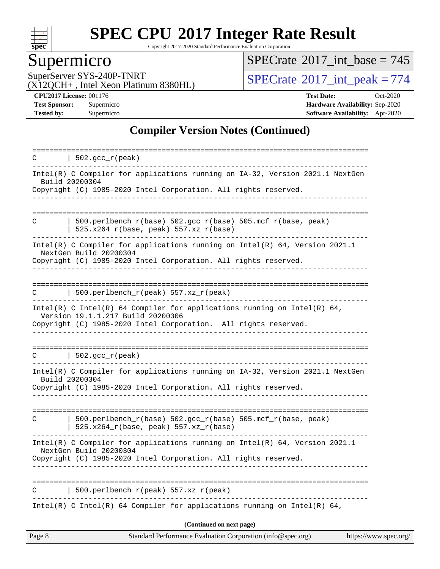

Copyright 2017-2020 Standard Performance Evaluation Corporation

## Supermicro

 $SPECrate$ <sup>®</sup>[2017\\_int\\_base =](http://www.spec.org/auto/cpu2017/Docs/result-fields.html#SPECrate2017intbase) 745

(X12QCH+ , Intel Xeon Platinum 8380HL)

SuperServer SYS-240P-TNRT  $(0.7720)$  [SPECrate](http://www.spec.org/auto/cpu2017/Docs/result-fields.html#SPECrate2017intpeak)<sup>®</sup>[2017\\_int\\_peak = 7](http://www.spec.org/auto/cpu2017/Docs/result-fields.html#SPECrate2017intpeak)74

**[CPU2017 License:](http://www.spec.org/auto/cpu2017/Docs/result-fields.html#CPU2017License)** 001176 **[Test Date:](http://www.spec.org/auto/cpu2017/Docs/result-fields.html#TestDate)** Oct-2020 **[Test Sponsor:](http://www.spec.org/auto/cpu2017/Docs/result-fields.html#TestSponsor)** Supermicro **[Hardware Availability:](http://www.spec.org/auto/cpu2017/Docs/result-fields.html#HardwareAvailability)** Sep-2020 **[Tested by:](http://www.spec.org/auto/cpu2017/Docs/result-fields.html#Testedby)** Supermicro **[Software Availability:](http://www.spec.org/auto/cpu2017/Docs/result-fields.html#SoftwareAvailability)** Apr-2020

#### **[Compiler Version Notes \(Continued\)](http://www.spec.org/auto/cpu2017/Docs/result-fields.html#CompilerVersionNotes)**

| $\vert$ 502.gcc_r(peak)<br>C                                                                                                                                                                                                                                                               |
|--------------------------------------------------------------------------------------------------------------------------------------------------------------------------------------------------------------------------------------------------------------------------------------------|
| <u> 1990 - Jan Alexandria de Carlos de Los Antigos de Carlos de Carlos de Carlos de Carlos de Carlos de Carlos d</u><br>Intel(R) C Compiler for applications running on IA-32, Version 2021.1 NextGen<br>Build 20200304<br>Copyright (C) 1985-2020 Intel Corporation. All rights reserved. |
|                                                                                                                                                                                                                                                                                            |
| 500.perlbench_r(base) 502.gcc_r(base) 505.mcf_r(base, peak)<br>C<br>$525.x264_r(base, peak) 557.xz_r(base)$                                                                                                                                                                                |
| Intel(R) C Compiler for applications running on Intel(R) 64, Version 2021.1<br>NextGen Build 20200304<br>Copyright (C) 1985-2020 Intel Corporation. All rights reserved.                                                                                                                   |
| 500.perlbench_r(peak) 557.xz_r(peak)<br>С                                                                                                                                                                                                                                                  |
| Intel(R) C Intel(R) 64 Compiler for applications running on Intel(R) 64,<br>Version 19.1.1.217 Build 20200306<br>Copyright (C) 1985-2020 Intel Corporation. All rights reserved.                                                                                                           |
| 502.gcc_r(peak)<br>C                                                                                                                                                                                                                                                                       |
| Intel(R) C Compiler for applications running on IA-32, Version 2021.1 NextGen<br>Build 20200304<br>Copyright (C) 1985-2020 Intel Corporation. All rights reserved.                                                                                                                         |
|                                                                                                                                                                                                                                                                                            |
| 500.perlbench_r(base) 502.gcc_r(base) 505.mcf_r(base, peak)<br>C<br>525.x264_r(base, peak) 557.xz_r(base)                                                                                                                                                                                  |
| Intel(R) C Compiler for applications running on Intel(R) 64, Version 2021.1<br>NextGen Build 20200304<br>Copyright (C) 1985-2020 Intel Corporation. All rights reserved.                                                                                                                   |
| 500.perlbench_r(peak) 557.xz_r(peak)                                                                                                                                                                                                                                                       |
| Intel(R) C Intel(R) 64 Compiler for applications running on Intel(R) 64,                                                                                                                                                                                                                   |
| (Continued on next page)                                                                                                                                                                                                                                                                   |
| Standard Performance Evaluation Corporation (info@spec.org)<br>https://www.spec.org/<br>Page 8                                                                                                                                                                                             |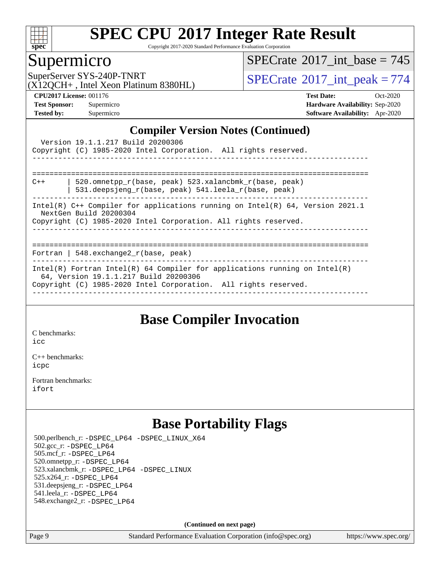

Copyright 2017-2020 Standard Performance Evaluation Corporation

# Supermicro<br>SuperServer SYS-240P-TNRT

 $SPECTate$ <sup>®</sup>[2017\\_int\\_base =](http://www.spec.org/auto/cpu2017/Docs/result-fields.html#SPECrate2017intbase) 745

(X12QCH+ , Intel Xeon Platinum 8380HL)

 $SPECTate@2017_int\_peak = 774$ 

**[CPU2017 License:](http://www.spec.org/auto/cpu2017/Docs/result-fields.html#CPU2017License)** 001176 **[Test Date:](http://www.spec.org/auto/cpu2017/Docs/result-fields.html#TestDate)** Oct-2020 **[Test Sponsor:](http://www.spec.org/auto/cpu2017/Docs/result-fields.html#TestSponsor)** Supermicro **[Hardware Availability:](http://www.spec.org/auto/cpu2017/Docs/result-fields.html#HardwareAvailability)** Sep-2020 **[Tested by:](http://www.spec.org/auto/cpu2017/Docs/result-fields.html#Testedby)** Supermicro **[Software Availability:](http://www.spec.org/auto/cpu2017/Docs/result-fields.html#SoftwareAvailability)** Apr-2020

#### **[Compiler Version Notes \(Continued\)](http://www.spec.org/auto/cpu2017/Docs/result-fields.html#CompilerVersionNotes)**

|                                                                                                                                                                              | Version 19.1.1.217 Build 20200306<br>Copyright (C) 1985-2020 Intel Corporation. All rights reserved.                                                                                     |  |  |  |  |  |
|------------------------------------------------------------------------------------------------------------------------------------------------------------------------------|------------------------------------------------------------------------------------------------------------------------------------------------------------------------------------------|--|--|--|--|--|
| $C++$                                                                                                                                                                        | 520.omnetpp r(base, peak) 523.xalancbmk r(base, peak)<br>531.deepsjeng $r(base, peak)$ 541.leela $r(base, peak)$                                                                         |  |  |  |  |  |
| Intel(R) $C++$ Compiler for applications running on Intel(R) 64, Version 2021.1<br>NextGen Build 20200304<br>Copyright (C) 1985-2020 Intel Corporation. All rights reserved. |                                                                                                                                                                                          |  |  |  |  |  |
|                                                                                                                                                                              | Fortran   548.exchange2_r(base, peak)                                                                                                                                                    |  |  |  |  |  |
|                                                                                                                                                                              | $Intel(R)$ Fortran Intel(R) 64 Compiler for applications running on Intel(R)<br>64, Version 19.1.1.217 Build 20200306<br>Copyright (C) 1985-2020 Intel Corporation. All rights reserved. |  |  |  |  |  |

### **[Base Compiler Invocation](http://www.spec.org/auto/cpu2017/Docs/result-fields.html#BaseCompilerInvocation)**

[C benchmarks](http://www.spec.org/auto/cpu2017/Docs/result-fields.html#Cbenchmarks): [icc](http://www.spec.org/cpu2017/results/res2020q4/cpu2017-20201027-24306.flags.html#user_CCbase_intel_icc_66fc1ee009f7361af1fbd72ca7dcefbb700085f36577c54f309893dd4ec40d12360134090235512931783d35fd58c0460139e722d5067c5574d8eaf2b3e37e92)

[C++ benchmarks:](http://www.spec.org/auto/cpu2017/Docs/result-fields.html#CXXbenchmarks) [icpc](http://www.spec.org/cpu2017/results/res2020q4/cpu2017-20201027-24306.flags.html#user_CXXbase_intel_icpc_c510b6838c7f56d33e37e94d029a35b4a7bccf4766a728ee175e80a419847e808290a9b78be685c44ab727ea267ec2f070ec5dc83b407c0218cded6866a35d07)

[Fortran benchmarks](http://www.spec.org/auto/cpu2017/Docs/result-fields.html#Fortranbenchmarks): [ifort](http://www.spec.org/cpu2017/results/res2020q4/cpu2017-20201027-24306.flags.html#user_FCbase_intel_ifort_8111460550e3ca792625aed983ce982f94888b8b503583aa7ba2b8303487b4d8a21a13e7191a45c5fd58ff318f48f9492884d4413fa793fd88dd292cad7027ca)

## **[Base Portability Flags](http://www.spec.org/auto/cpu2017/Docs/result-fields.html#BasePortabilityFlags)**

 500.perlbench\_r: [-DSPEC\\_LP64](http://www.spec.org/cpu2017/results/res2020q4/cpu2017-20201027-24306.flags.html#b500.perlbench_r_basePORTABILITY_DSPEC_LP64) [-DSPEC\\_LINUX\\_X64](http://www.spec.org/cpu2017/results/res2020q4/cpu2017-20201027-24306.flags.html#b500.perlbench_r_baseCPORTABILITY_DSPEC_LINUX_X64) 502.gcc\_r: [-DSPEC\\_LP64](http://www.spec.org/cpu2017/results/res2020q4/cpu2017-20201027-24306.flags.html#suite_basePORTABILITY502_gcc_r_DSPEC_LP64) 505.mcf\_r: [-DSPEC\\_LP64](http://www.spec.org/cpu2017/results/res2020q4/cpu2017-20201027-24306.flags.html#suite_basePORTABILITY505_mcf_r_DSPEC_LP64) 520.omnetpp\_r: [-DSPEC\\_LP64](http://www.spec.org/cpu2017/results/res2020q4/cpu2017-20201027-24306.flags.html#suite_basePORTABILITY520_omnetpp_r_DSPEC_LP64) 523.xalancbmk\_r: [-DSPEC\\_LP64](http://www.spec.org/cpu2017/results/res2020q4/cpu2017-20201027-24306.flags.html#suite_basePORTABILITY523_xalancbmk_r_DSPEC_LP64) [-DSPEC\\_LINUX](http://www.spec.org/cpu2017/results/res2020q4/cpu2017-20201027-24306.flags.html#b523.xalancbmk_r_baseCXXPORTABILITY_DSPEC_LINUX) 525.x264\_r: [-DSPEC\\_LP64](http://www.spec.org/cpu2017/results/res2020q4/cpu2017-20201027-24306.flags.html#suite_basePORTABILITY525_x264_r_DSPEC_LP64) 531.deepsjeng\_r: [-DSPEC\\_LP64](http://www.spec.org/cpu2017/results/res2020q4/cpu2017-20201027-24306.flags.html#suite_basePORTABILITY531_deepsjeng_r_DSPEC_LP64) 541.leela\_r: [-DSPEC\\_LP64](http://www.spec.org/cpu2017/results/res2020q4/cpu2017-20201027-24306.flags.html#suite_basePORTABILITY541_leela_r_DSPEC_LP64) 548.exchange2\_r: [-DSPEC\\_LP64](http://www.spec.org/cpu2017/results/res2020q4/cpu2017-20201027-24306.flags.html#suite_basePORTABILITY548_exchange2_r_DSPEC_LP64)

**(Continued on next page)**

Page 9 Standard Performance Evaluation Corporation [\(info@spec.org\)](mailto:info@spec.org) <https://www.spec.org/>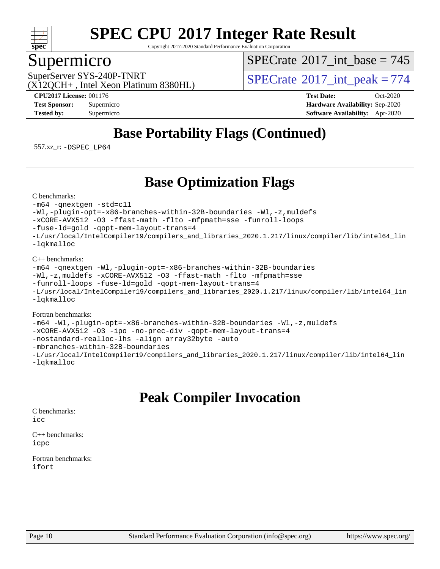

Copyright 2017-2020 Standard Performance Evaluation Corporation

### Supermicro

 $SPECTate$ <sup>®</sup>[2017\\_int\\_base =](http://www.spec.org/auto/cpu2017/Docs/result-fields.html#SPECrate2017intbase) 745

(X12QCH+ , Intel Xeon Platinum 8380HL)

SuperServer SYS-240P-TNRT  $SUS - 240P$ -TNRT  $SPECrate \degree 2017$  $SPECrate \degree 2017$ \_int\_peak = 774

**[CPU2017 License:](http://www.spec.org/auto/cpu2017/Docs/result-fields.html#CPU2017License)** 001176 **[Test Date:](http://www.spec.org/auto/cpu2017/Docs/result-fields.html#TestDate)** Oct-2020 **[Test Sponsor:](http://www.spec.org/auto/cpu2017/Docs/result-fields.html#TestSponsor)** Supermicro **[Hardware Availability:](http://www.spec.org/auto/cpu2017/Docs/result-fields.html#HardwareAvailability)** Sep-2020 **[Tested by:](http://www.spec.org/auto/cpu2017/Docs/result-fields.html#Testedby)** Supermicro **[Software Availability:](http://www.spec.org/auto/cpu2017/Docs/result-fields.html#SoftwareAvailability)** Apr-2020

## **[Base Portability Flags \(Continued\)](http://www.spec.org/auto/cpu2017/Docs/result-fields.html#BasePortabilityFlags)**

557.xz\_r: [-DSPEC\\_LP64](http://www.spec.org/cpu2017/results/res2020q4/cpu2017-20201027-24306.flags.html#suite_basePORTABILITY557_xz_r_DSPEC_LP64)

## **[Base Optimization Flags](http://www.spec.org/auto/cpu2017/Docs/result-fields.html#BaseOptimizationFlags)**

[C benchmarks](http://www.spec.org/auto/cpu2017/Docs/result-fields.html#Cbenchmarks):

[-m64](http://www.spec.org/cpu2017/results/res2020q4/cpu2017-20201027-24306.flags.html#user_CCbase_m64-icc) [-qnextgen](http://www.spec.org/cpu2017/results/res2020q4/cpu2017-20201027-24306.flags.html#user_CCbase_f-qnextgen) [-std=c11](http://www.spec.org/cpu2017/results/res2020q4/cpu2017-20201027-24306.flags.html#user_CCbase_std-icc-std_0e1c27790398a4642dfca32ffe6c27b5796f9c2d2676156f2e42c9c44eaad0c049b1cdb667a270c34d979996257aeb8fc440bfb01818dbc9357bd9d174cb8524) [-Wl,-plugin-opt=-x86-branches-within-32B-boundaries](http://www.spec.org/cpu2017/results/res2020q4/cpu2017-20201027-24306.flags.html#user_CCbase_f-x86-branches-within-32B-boundaries_0098b4e4317ae60947b7b728078a624952a08ac37a3c797dfb4ffeb399e0c61a9dd0f2f44ce917e9361fb9076ccb15e7824594512dd315205382d84209e912f3) [-Wl,-z,muldefs](http://www.spec.org/cpu2017/results/res2020q4/cpu2017-20201027-24306.flags.html#user_CCbase_link_force_multiple1_b4cbdb97b34bdee9ceefcfe54f4c8ea74255f0b02a4b23e853cdb0e18eb4525ac79b5a88067c842dd0ee6996c24547a27a4b99331201badda8798ef8a743f577) [-xCORE-AVX512](http://www.spec.org/cpu2017/results/res2020q4/cpu2017-20201027-24306.flags.html#user_CCbase_f-xCORE-AVX512) [-O3](http://www.spec.org/cpu2017/results/res2020q4/cpu2017-20201027-24306.flags.html#user_CCbase_f-O3) [-ffast-math](http://www.spec.org/cpu2017/results/res2020q4/cpu2017-20201027-24306.flags.html#user_CCbase_f-ffast-math) [-flto](http://www.spec.org/cpu2017/results/res2020q4/cpu2017-20201027-24306.flags.html#user_CCbase_f-flto) [-mfpmath=sse](http://www.spec.org/cpu2017/results/res2020q4/cpu2017-20201027-24306.flags.html#user_CCbase_f-mfpmath_70eb8fac26bde974f8ab713bc9086c5621c0b8d2f6c86f38af0bd7062540daf19db5f3a066d8c6684be05d84c9b6322eb3b5be6619d967835195b93d6c02afa1) [-funroll-loops](http://www.spec.org/cpu2017/results/res2020q4/cpu2017-20201027-24306.flags.html#user_CCbase_f-funroll-loops) [-fuse-ld=gold](http://www.spec.org/cpu2017/results/res2020q4/cpu2017-20201027-24306.flags.html#user_CCbase_f-fuse-ld_920b3586e2b8c6e0748b9c84fa9b744736ba725a32cab14ad8f3d4ad28eecb2f59d1144823d2e17006539a88734fe1fc08fc3035f7676166309105a78aaabc32) [-qopt-mem-layout-trans=4](http://www.spec.org/cpu2017/results/res2020q4/cpu2017-20201027-24306.flags.html#user_CCbase_f-qopt-mem-layout-trans_fa39e755916c150a61361b7846f310bcdf6f04e385ef281cadf3647acec3f0ae266d1a1d22d972a7087a248fd4e6ca390a3634700869573d231a252c784941a8) [-L/usr/local/IntelCompiler19/compilers\\_and\\_libraries\\_2020.1.217/linux/compiler/lib/intel64\\_lin](http://www.spec.org/cpu2017/results/res2020q4/cpu2017-20201027-24306.flags.html#user_CCbase_linkpath_2cb6f503891ebf8baee7515f4e7d4ec1217444d1d05903cc0091ac4158de400651d2b2313a9fa414cb8a8f0e16ab029634f5c6db340f400369c190d4db8a54a0) [-lqkmalloc](http://www.spec.org/cpu2017/results/res2020q4/cpu2017-20201027-24306.flags.html#user_CCbase_qkmalloc_link_lib_79a818439969f771c6bc311cfd333c00fc099dad35c030f5aab9dda831713d2015205805422f83de8875488a2991c0a156aaa600e1f9138f8fc37004abc96dc5)

[C++ benchmarks](http://www.spec.org/auto/cpu2017/Docs/result-fields.html#CXXbenchmarks):

```
-m64 -qnextgen -Wl,-plugin-opt=-x86-branches-within-32B-boundaries
-Wl,-z,muldefs -xCORE-AVX512 -O3 -ffast-math -flto -mfpmath=sse
-funroll-loops -fuse-ld=gold -qopt-mem-layout-trans=4
-L/usr/local/IntelCompiler19/compilers_and_libraries_2020.1.217/linux/compiler/lib/intel64_lin
-lqkmalloc
```
#### [Fortran benchmarks:](http://www.spec.org/auto/cpu2017/Docs/result-fields.html#Fortranbenchmarks)

```
-m64 -Wl,-plugin-opt=-x86-branches-within-32B-boundaries -Wl,-z,muldefs
-xCORE-AVX512 -O3 -ipo -no-prec-div -qopt-mem-layout-trans=4
-nostandard-realloc-lhs -align array32byte -auto
-mbranches-within-32B-boundaries
-L/usr/local/IntelCompiler19/compilers_and_libraries_2020.1.217/linux/compiler/lib/intel64_lin
-lqkmalloc
```
## **[Peak Compiler Invocation](http://www.spec.org/auto/cpu2017/Docs/result-fields.html#PeakCompilerInvocation)**

[C benchmarks](http://www.spec.org/auto/cpu2017/Docs/result-fields.html#Cbenchmarks):

[icc](http://www.spec.org/cpu2017/results/res2020q4/cpu2017-20201027-24306.flags.html#user_CCpeak_intel_icc_66fc1ee009f7361af1fbd72ca7dcefbb700085f36577c54f309893dd4ec40d12360134090235512931783d35fd58c0460139e722d5067c5574d8eaf2b3e37e92)

[C++ benchmarks:](http://www.spec.org/auto/cpu2017/Docs/result-fields.html#CXXbenchmarks) [icpc](http://www.spec.org/cpu2017/results/res2020q4/cpu2017-20201027-24306.flags.html#user_CXXpeak_intel_icpc_c510b6838c7f56d33e37e94d029a35b4a7bccf4766a728ee175e80a419847e808290a9b78be685c44ab727ea267ec2f070ec5dc83b407c0218cded6866a35d07)

[Fortran benchmarks](http://www.spec.org/auto/cpu2017/Docs/result-fields.html#Fortranbenchmarks): [ifort](http://www.spec.org/cpu2017/results/res2020q4/cpu2017-20201027-24306.flags.html#user_FCpeak_intel_ifort_8111460550e3ca792625aed983ce982f94888b8b503583aa7ba2b8303487b4d8a21a13e7191a45c5fd58ff318f48f9492884d4413fa793fd88dd292cad7027ca)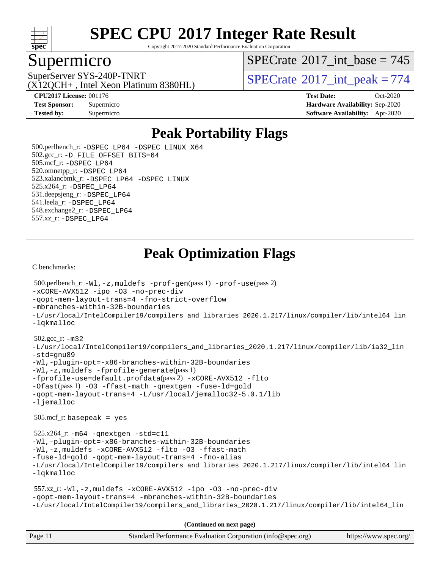

Copyright 2017-2020 Standard Performance Evaluation Corporation

### Supermicro

 $SPECTate$ <sup>®</sup>[2017\\_int\\_base =](http://www.spec.org/auto/cpu2017/Docs/result-fields.html#SPECrate2017intbase) 745

(X12QCH+ , Intel Xeon Platinum 8380HL)

SuperServer SYS-240P-TNRT  $SUS - 240P$ -TNRT  $SPECrate \degree 2017$  $SPECrate \degree 2017$ \_int\_peak = 774

**[CPU2017 License:](http://www.spec.org/auto/cpu2017/Docs/result-fields.html#CPU2017License)** 001176 **[Test Date:](http://www.spec.org/auto/cpu2017/Docs/result-fields.html#TestDate)** Oct-2020 **[Test Sponsor:](http://www.spec.org/auto/cpu2017/Docs/result-fields.html#TestSponsor)** Supermicro **[Hardware Availability:](http://www.spec.org/auto/cpu2017/Docs/result-fields.html#HardwareAvailability)** Sep-2020 **[Tested by:](http://www.spec.org/auto/cpu2017/Docs/result-fields.html#Testedby)** Supermicro **[Software Availability:](http://www.spec.org/auto/cpu2017/Docs/result-fields.html#SoftwareAvailability)** Apr-2020

### **[Peak Portability Flags](http://www.spec.org/auto/cpu2017/Docs/result-fields.html#PeakPortabilityFlags)**

 500.perlbench\_r: [-DSPEC\\_LP64](http://www.spec.org/cpu2017/results/res2020q4/cpu2017-20201027-24306.flags.html#b500.perlbench_r_peakPORTABILITY_DSPEC_LP64) [-DSPEC\\_LINUX\\_X64](http://www.spec.org/cpu2017/results/res2020q4/cpu2017-20201027-24306.flags.html#b500.perlbench_r_peakCPORTABILITY_DSPEC_LINUX_X64) 502.gcc\_r: [-D\\_FILE\\_OFFSET\\_BITS=64](http://www.spec.org/cpu2017/results/res2020q4/cpu2017-20201027-24306.flags.html#user_peakPORTABILITY502_gcc_r_file_offset_bits_64_5ae949a99b284ddf4e95728d47cb0843d81b2eb0e18bdfe74bbf0f61d0b064f4bda2f10ea5eb90e1dcab0e84dbc592acfc5018bc955c18609f94ddb8d550002c) 505.mcf\_r: [-DSPEC\\_LP64](http://www.spec.org/cpu2017/results/res2020q4/cpu2017-20201027-24306.flags.html#suite_peakPORTABILITY505_mcf_r_DSPEC_LP64) 520.omnetpp\_r: [-DSPEC\\_LP64](http://www.spec.org/cpu2017/results/res2020q4/cpu2017-20201027-24306.flags.html#suite_peakPORTABILITY520_omnetpp_r_DSPEC_LP64) 523.xalancbmk\_r: [-DSPEC\\_LP64](http://www.spec.org/cpu2017/results/res2020q4/cpu2017-20201027-24306.flags.html#suite_peakPORTABILITY523_xalancbmk_r_DSPEC_LP64) [-DSPEC\\_LINUX](http://www.spec.org/cpu2017/results/res2020q4/cpu2017-20201027-24306.flags.html#b523.xalancbmk_r_peakCXXPORTABILITY_DSPEC_LINUX) 525.x264\_r: [-DSPEC\\_LP64](http://www.spec.org/cpu2017/results/res2020q4/cpu2017-20201027-24306.flags.html#suite_peakPORTABILITY525_x264_r_DSPEC_LP64) 531.deepsjeng\_r: [-DSPEC\\_LP64](http://www.spec.org/cpu2017/results/res2020q4/cpu2017-20201027-24306.flags.html#suite_peakPORTABILITY531_deepsjeng_r_DSPEC_LP64) 541.leela\_r: [-DSPEC\\_LP64](http://www.spec.org/cpu2017/results/res2020q4/cpu2017-20201027-24306.flags.html#suite_peakPORTABILITY541_leela_r_DSPEC_LP64) 548.exchange2\_r: [-DSPEC\\_LP64](http://www.spec.org/cpu2017/results/res2020q4/cpu2017-20201027-24306.flags.html#suite_peakPORTABILITY548_exchange2_r_DSPEC_LP64) 557.xz\_r: [-DSPEC\\_LP64](http://www.spec.org/cpu2017/results/res2020q4/cpu2017-20201027-24306.flags.html#suite_peakPORTABILITY557_xz_r_DSPEC_LP64)

### **[Peak Optimization Flags](http://www.spec.org/auto/cpu2017/Docs/result-fields.html#PeakOptimizationFlags)**

[C benchmarks](http://www.spec.org/auto/cpu2017/Docs/result-fields.html#Cbenchmarks):

```
Page 11 Standard Performance Evaluation Corporation (info@spec.org) https://www.spec.org/
  500.perlbench_r: -Wl,-z,muldefs -prof-gen(pass 1) -prof-use(pass 2)
-xCORE-AVX512 -ipo -O3 -no-prec-div
-qopt-mem-layout-trans=4 -fno-strict-overflow
-mbranches-within-32B-boundaries
-L/usr/local/IntelCompiler19/compilers_and_libraries_2020.1.217/linux/compiler/lib/intel64_lin
-lqkmalloc
  502.gcc_r: -m32
-L/usr/local/IntelCompiler19/compilers_and_libraries_2020.1.217/linux/compiler/lib/ia32_lin
-std=gnu89
-Wl,-plugin-opt=-x86-branches-within-32B-boundaries
-Wl,-z,muldefs -fprofile-generate(pass 1)
-fprofile-use=default.profdata(pass 2) -xCORE-AVX512 -flto
-Ofast(pass 1) -O3 -ffast-math -qnextgen -fuse-ld=gold
-qopt-mem-layout-trans=4 -L/usr/local/jemalloc32-5.0.1/lib
-ljemalloc
  505.mcf_r: basepeak = yes
  525.x264_r: -m64 -qnextgen -std=c11
-Wl,-plugin-opt=-x86-branches-within-32B-boundaries
-Wl,-z,muldefs -xCORE-AVX512 -flto -O3 -ffast-math
-fuse-ld=gold -qopt-mem-layout-trans=4 -fno-alias
-L/usr/local/IntelCompiler19/compilers_and_libraries_2020.1.217/linux/compiler/lib/intel64_lin
-lqkmalloc
  557.xz_r: -Wl,-z,muldefs -xCORE-AVX512 -ipo -O3 -no-prec-div
-qopt-mem-layout-trans=4 -mbranches-within-32B-boundaries
-L/usr/local/IntelCompiler19/compilers_and_libraries_2020.1.217/linux/compiler/lib/intel64_lin
                                      (Continued on next page)
```